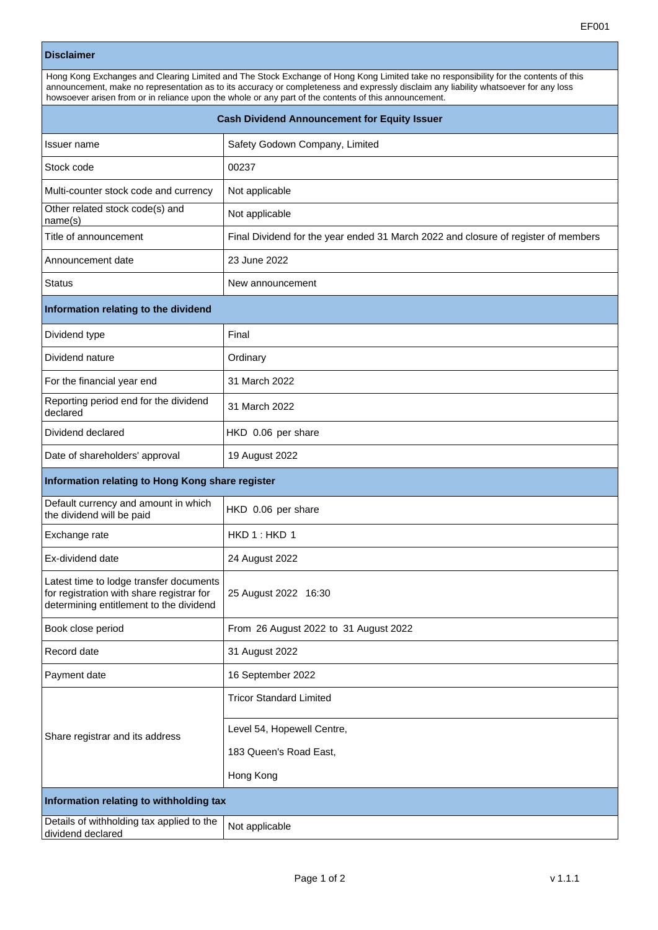## **Disclaimer**

| Hong Kong Exchanges and Clearing Limited and The Stock Exchange of Hong Kong Limited take no responsibility for the contents of this |  |  |
|--------------------------------------------------------------------------------------------------------------------------------------|--|--|
| announcement, make no representation as to its accuracy or completeness and expressly disclaim any liability whatsoever for any loss |  |  |
| howsoever arisen from or in reliance upon the whole or any part of the contents of this announcement.                                |  |  |
|                                                                                                                                      |  |  |

| <b>Cash Dividend Announcement for Equity Issuer</b>                                                                             |                                                                                    |  |
|---------------------------------------------------------------------------------------------------------------------------------|------------------------------------------------------------------------------------|--|
| Issuer name                                                                                                                     | Safety Godown Company, Limited                                                     |  |
| Stock code                                                                                                                      | 00237                                                                              |  |
| Multi-counter stock code and currency                                                                                           | Not applicable                                                                     |  |
| Other related stock code(s) and<br>name(s)                                                                                      | Not applicable                                                                     |  |
| Title of announcement                                                                                                           | Final Dividend for the year ended 31 March 2022 and closure of register of members |  |
| Announcement date                                                                                                               | 23 June 2022                                                                       |  |
| <b>Status</b>                                                                                                                   | New announcement                                                                   |  |
| Information relating to the dividend                                                                                            |                                                                                    |  |
| Dividend type                                                                                                                   | Final                                                                              |  |
| Dividend nature                                                                                                                 | Ordinary                                                                           |  |
| For the financial year end                                                                                                      | 31 March 2022                                                                      |  |
| Reporting period end for the dividend<br>declared                                                                               | 31 March 2022                                                                      |  |
| Dividend declared                                                                                                               | HKD 0.06 per share                                                                 |  |
| Date of shareholders' approval                                                                                                  | 19 August 2022                                                                     |  |
| Information relating to Hong Kong share register                                                                                |                                                                                    |  |
| Default currency and amount in which<br>the dividend will be paid                                                               | HKD 0.06 per share                                                                 |  |
| Exchange rate                                                                                                                   | HKD 1: HKD 1                                                                       |  |
| Ex-dividend date                                                                                                                | 24 August 2022                                                                     |  |
| Latest time to lodge transfer documents<br>for registration with share registrar for<br>determining entitlement to the dividend | 25 August 2022 16:30                                                               |  |
| Book close period                                                                                                               | From 26 August 2022 to 31 August 2022                                              |  |
| Record date                                                                                                                     | 31 August 2022                                                                     |  |
| Payment date                                                                                                                    | 16 September 2022                                                                  |  |
| Share registrar and its address                                                                                                 | <b>Tricor Standard Limited</b>                                                     |  |
|                                                                                                                                 | Level 54, Hopewell Centre,                                                         |  |
|                                                                                                                                 | 183 Queen's Road East,                                                             |  |
|                                                                                                                                 | Hong Kong                                                                          |  |
| Information relating to withholding tax                                                                                         |                                                                                    |  |
| Details of withholding tax applied to the<br>dividend declared                                                                  | Not applicable                                                                     |  |